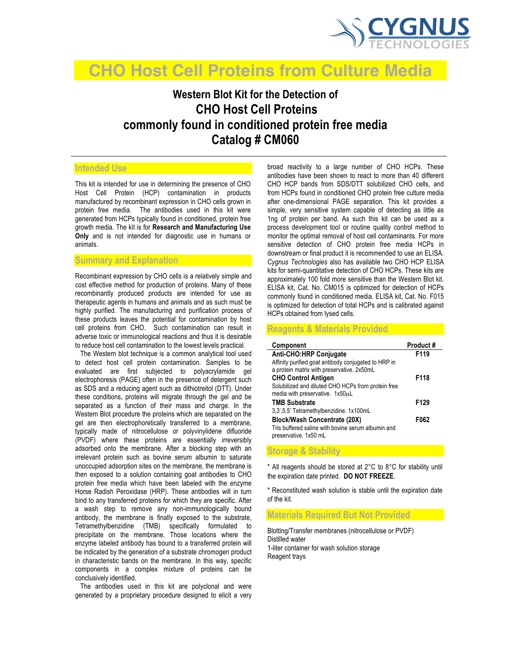

# **CHO Host Cell Proteins from Culture Media**

## **Western Blot Kit for the Detection of CHO Host Cell Proteins commonly found in conditioned protein free media Catalog # CM060**

## **Intended Use**

This kit is intended for use in determining the presence of CHO Host Cell Protein (HCP) contamination in products manufactured by recombinant expression in CHO cells grown in protein free media. The antibodies used in this kit were generated from HCPs typically found in conditioned, protein free growth media. The kit is for **Research and Manufacturing Use Only** and is not intended for diagnostic use in humans or animals.

#### **Summary and Explanation**

Recombinant expression by CHO cells is a relatively simple and cost effective method for production of proteins. Many of these recombinantly produced products are intended for use as therapeutic agents in humans and animals and as such must be highly purified. The manufacturing and purification process of these products leaves the potential for contamination by host cell proteins from CHO.Such contamination can result in adverse toxic or immunological reactions and thus it is desirable to reduce host cell contamination to the lowest levels practical.

 The Western blot technique is a common analytical tool used to detect host cell protein contamination. Samples to be evaluated are first subjected to polyacrylamide gel electrophoresis (PAGE) often in the presence of detergent such as SDS and a reducing agent such as dithiotreitol (DTT). Under these conditions, proteins will migrate through the gel and be separated as a function of their mass and charge. In the Western Blot procedure the proteins which are separated on the gel are then electrophoretically transferred to a membrane, typically made of nitrocellulose or polyvinylidene difluoride (PVDF) where these proteins are essentially irreversibly adsorbed onto the membrane. After a blocking step with an irrelevant protein such as bovine serum albumin to saturate unoccupied adsorption sites on the membrane, the membrane is then exposed to a solution containing goat antibodies to CHO protein free media which have been labeled with the enzyme Horse Radish Peroxidase (HRP). These antibodies will in turn bind to any transferred proteins for which they are specific. After a wash step to remove any non-immunologically bound antibody, the membrane is finally exposed to the substrate, Tetramethylbenzidine (TMB) specifically formulated to precipitate on the membrane. Those locations where the enzyme labeled antibody has bound to a transferred protein will be indicated by the generation of a substrate chromogen product in characteristic bands on the membrane. In this way, specific components in a complex mixture of proteins can be conclusively identified.

 The antibodies used in this kit are polyclonal and were generated by a proprietary procedure designed to elicit a very broad reactivity to a large number of CHO HCPs. These antibodies have been shown to react to more than 40 different CHO HCP bands from SDS/DTT solubilized CHO cells, and from HCPs found in conditioned CHO protein free culture media after one-dimensional PAGE separation. This kit provides a simple, very sensitive system capable of detecting as little as 1ng of protein per band. As such this kit can be used as a process development tool or routine quality control method to monitor the optimal removal of host cell contaminants. For more sensitive detection of CHO protein free media HCPs in downstream or final product it is recommended to use an ELISA. *Cygnus Technologies* also has available two CHO HCP ELISA kits for semi-quantitative detection of CHO HCPs. These kits are approximately 100 fold more sensitive than the Western Blot kit. ELISA kit, Cat. No. CM015 is optimized for detection of HCPs commonly found in conditioned media. ELISA kit, Cat. No. F015 is optimized for detection of total HCPs and is calibrated against HCPs obtained from lysed cells.

#### **Reagents & Materials Provided**

**Storage & Stability** 

| Component                                                                   | Product# |
|-----------------------------------------------------------------------------|----------|
| Anti-CHO:HRP Conjugate                                                      | F119     |
| Affinity purified goat antibody conjugated to HRP in                        |          |
| a protein matrix with preservative. 2x50mL                                  |          |
| <b>CHO Control Antigen</b>                                                  | F118     |
| Solubilized and diluted CHO HCPs from protein free                          |          |
| media with preservative. 1x50uL                                             |          |
| <b>TMB Substrate</b>                                                        | F129     |
| 3,3',5,5' Tetramethylbenzidine. 1x100mL                                     |          |
| <b>Block/Wash Concentrate (20X)</b>                                         | F062     |
| Tris buffered saline with bovine serum albumin and<br>preservative. 1x50 mL |          |

 $*$  All reagents should be stored at  $2^{\circ}$ C to  $8^{\circ}$ C for stability until the expiration date printed. **DO NOT FREEZE**.

\* Reconstituted wash solution is stable until the expiration date of the kit.

**Materials Required But Not Provided**

Blotting/Transfer membranes (nitrocellulose or PVDF) Distilled water 1-liter container for wash solution storage Reagent trays